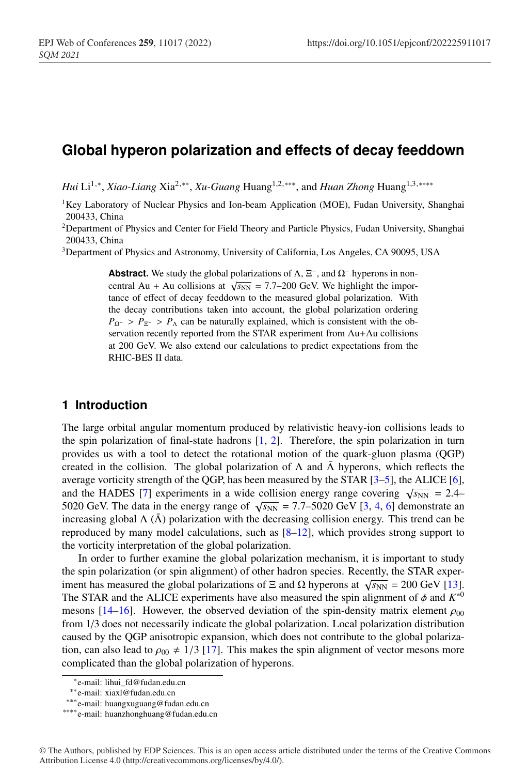# **Global hyperon polarization and effects of decay feeddown**

*Hui* Li<sup>1,∗</sup>, *Xiao-Liang* Xia<sup>2,∗∗</sup>, *Xu-Guang* Huang<sup>1,2,∗∗∗, and *Huan Zhong* Huang<sup>1,3,∗∗∗∗</sup></sup>

- <sup>1</sup>Key Laboratory of Nuclear Physics and Ion-beam Application (MOE), Fudan University, Shanghai 200433, China
- <sup>2</sup>Department of Physics and Center for Field Theory and Particle Physics, Fudan University, Shanghai 200433, China
- 3Department of Physics and Astronomy, University of California, Los Angeles, CA 90095, USA

**Abstract.** We study the global polarizations of  $\Lambda$ ,  $\Xi^-$ , and  $\Omega^-$  hyperons in noncentral Au + Au collisions at  $\sqrt{s_{NN}}$  = 7.7–200 GeV. We highlight the importance of effect of decay feeddown to the measured global polarization. With the decay contributions taken into account, the global polarization ordering  $P_{\Omega^-}$  >  $P_{\Xi^-}$  >  $P_{\Lambda}$  can be naturally explained, which is consistent with the observation recently reported from the STAR experiment from Au+Au collisions at 200 GeV. We also extend our calculations to predict expectations from the RHIC-BES II data.

## **1 Introduction**

The large orbital angular momentum produced by relativistic heavy-ion collisions leads to the spin polarization of final-state hadrons [1, 2]. Therefore, the spin polarization in turn provides us with a tool to detect the rotational motion of the quark-gluon plasma (QGP) created in the collision. The global polarization of  $\Lambda$  and  $\bar{\Lambda}$  hyperons, which reflects the average vorticity strength of the QGP, has been measured by the STAR [3–5], the ALICE [6], and the HADES [7] experiments in a wide collision energy range covering  $\sqrt{s_{NN}}$  = 2.4– 5020 GeV. The data in the energy range of  $\sqrt{s_{NN}} = 7.7-5020$  GeV [3, 4, 6] demonstrate an increasing global  $\Lambda(\bar{\Lambda})$  polarization with the decreasing collision energy. This trend can be reproduced by many model calculations, such as [8–12], which provides strong support to the vorticity interpretation of the global polarization.

In order to further examine the global polarization mechanism, it is important to study the spin polarization (or spin alignment) of other hadron species. Recently, the STAR experiment has measured the global polarizations of  $\Xi$  and  $\Omega$  hyperons at  $\sqrt{s_{NN}}$  = 200 GeV [13]. The STAR and the ALICE experiments have also measured the spin alignment of  $\phi$  and  $K^{*0}$ mesons [14–16]. However, the observed deviation of the spin-density matrix element  $\rho_{00}$ from 1/3 does not necessarily indicate the global polarization. Local polarization distribution caused by the QGP anisotropic expansion, which does not contribute to the global polarization, can also lead to  $\rho_{00} \neq 1/3$  [17]. This makes the spin alignment of vector mesons more complicated than the global polarization of hyperons.

<sup>∗</sup>e-mail: lihui\_fd@fudan.edu.cn

<sup>∗∗</sup>e-mail: xiaxl@fudan.edu.cn

<sup>∗∗∗</sup>e-mail: huangxuguang@fudan.edu.cn

<sup>∗∗∗∗</sup>e-mail: huanzhonghuang@fudan.edu.cn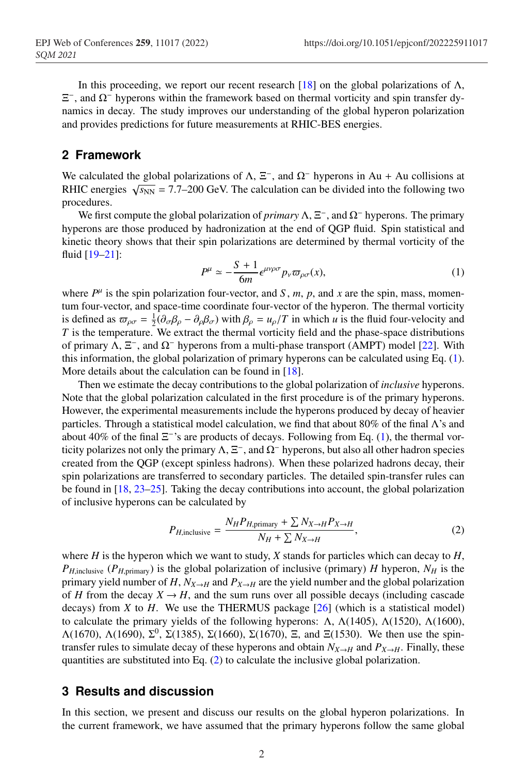In this proceeding, we report our recent research [18] on the global polarizations of  $\Lambda$ , Ξ−, and Ω<sup>−</sup> hyperons within the framework based on thermal vorticity and spin transfer dynamics in decay. The study improves our understanding of the global hyperon polarization and provides predictions for future measurements at RHIC-BES energies.

## **2 Framework**

We calculated the global polarizations of  $\Lambda$ ,  $\Xi^-$ , and  $\Omega^-$  hyperons in Au + Au collisions at RHIC energies  $\sqrt{s_{NN}}$  = 7.7–200 GeV. The calculation can be divided into the following two procedures.

We first compute the global polarization of *primary* Λ, Ξ−, and Ω<sup>−</sup> hyperons. The primary hyperons are those produced by hadronization at the end of QGP fluid. Spin statistical and kinetic theory shows that their spin polarizations are determined by thermal vorticity of the fluid [19–21]:

$$
P^{\mu} \simeq -\frac{S+1}{6m} \epsilon^{\mu\nu\rho\sigma} p_{\nu} \varpi_{\rho\sigma}(x), \tag{1}
$$

where  $P^{\mu}$  is the spin polarization four-vector, and *S*, *m*, *p*, and *x* are the spin, mass, momentum four-vector, and space-time coordinate four-vector of the hyperon. The thermal vorticity is defined as  $\omega_{\rho\sigma} = \frac{1}{2}(\partial_{\sigma}\beta_{\rho} - \partial_{\rho}\beta_{\sigma})$  with  $\beta_{\rho} = u_{\rho}/T$  in which *u* is the fluid four-velocity and *T* is the temperature. We extract the thermal vorticity field and the phase-space distributions of primary  $Λ, Ξ<sup>-</sup>$ , and  $Ω<sup>-</sup>$  hyperons from a multi-phase transport (AMPT) model [22]. With this information, the global polarization of primary hyperons can be calculated using Eq. (1). More details about the calculation can be found in [18].

Then we estimate the decay contributions to the global polarization of *inclusive* hyperons. Note that the global polarization calculated in the first procedure is of the primary hyperons. However, the experimental measurements include the hyperons produced by decay of heavier particles. Through a statistical model calculation, we find that about 80% of the final Λ's and about 40% of the final  $\Xi^{-}$ 's are products of decays. Following from Eq. (1), the thermal vorticity polarizes not only the primary  $\Lambda$ ,  $\Xi^-$ , and  $\Omega^-$  hyperons, but also all other hadron species created from the QGP (except spinless hadrons). When these polarized hadrons decay, their spin polarizations are transferred to secondary particles. The detailed spin-transfer rules can be found in [18, 23–25]. Taking the decay contributions into account, the global polarization of inclusive hyperons can be calculated by

$$
P_{H,\text{inclusive}} = \frac{N_H P_{H,\text{primary}} + \sum N_{X \to H} P_{X \to H}}{N_H + \sum N_{X \to H}},\tag{2}
$$

where *H* is the hyperon which we want to study, *X* stands for particles which can decay to *H*,  $P_{H,\text{inclusive}}$  ( $P_{H,\text{primary}}$ ) is the global polarization of inclusive (primary) *H* hyperon,  $N_H$  is the primary yield number of *H*,  $N_{X\rightarrow H}$  and  $P_{X\rightarrow H}$  are the yield number and the global polarization of *H* from the decay  $X \to H$ , and the sum runs over all possible decays (including cascade decays) from *X* to *H*. We use the THERMUS package  $[26]$  (which is a statistical model) to calculate the primary yields of the following hyperons: Λ,  $Λ(1405)$ ,  $Λ(1520)$ ,  $Λ(1600)$ ,  $Λ(1670)$ ,  $Λ(1690)$ ,  $Σ<sup>0</sup>$ ,  $Σ(1385)$ ,  $Σ(1660)$ ,  $Σ(1670)$ , Ξ, and Ξ(1530). We then use the spintransfer rules to simulate decay of these hyperons and obtain  $N_{X\to H}$  and  $P_{X\to H}$ . Finally, these quantities are substituted into Eq. (2) to calculate the inclusive global polarization.

### **3 Results and discussion**

In this section, we present and discuss our results on the global hyperon polarizations. In the current framework, we have assumed that the primary hyperons follow the same global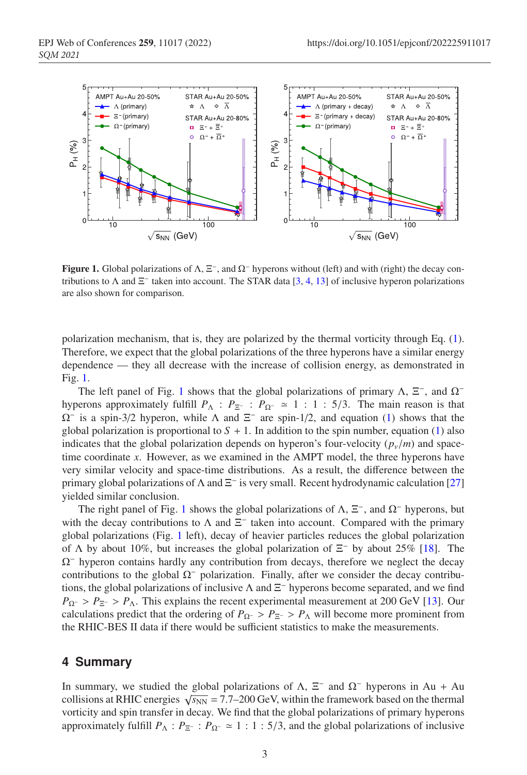

**Figure 1.** Global polarizations of  $\Lambda$ ,  $\Xi^-$ , and  $\Omega^-$  hyperons without (left) and with (right) the decay contributions to  $\Lambda$  and  $\Xi^-$  taken into account. The STAR data [3, 4, 13] of inclusive hyperon polarizations are also shown for comparison.

polarization mechanism, that is, they are polarized by the thermal vorticity through Eq. (1). Therefore, we expect that the global polarizations of the three hyperons have a similar energy dependence — they all decrease with the increase of collision energy, as demonstrated in Fig. 1.

The left panel of Fig. 1 shows that the global polarizations of primary  $\Lambda$ ,  $\Xi^-$ , and  $\Omega^$ hyperons approximately fulfill  $P_{\Lambda}$  :  $P_{\Xi^-}$  :  $P_{\Omega^-} \simeq 1$  : 1 : 5/3. The main reason is that  $\Omega$ <sup>-</sup> is a spin-3/2 hyperon, while  $\Lambda$  and  $\Xi$ <sup>-</sup> are spin-1/2, and equation (1) shows that the global polarization is proportional to  $S + 1$ . In addition to the spin number, equation (1) also indicates that the global polarization depends on hyperon's four-velocity  $(p_v/m)$  and spacetime coordinate *x*. However, as we examined in the AMPT model, the three hyperons have very similar velocity and space-time distributions. As a result, the difference between the primary global polarizations of  $\Lambda$  and  $\Xi^-$  is very small. Recent hydrodynamic calculation [27] yielded similar conclusion.

The right panel of Fig. 1 shows the global polarizations of  $\Lambda$ ,  $\Xi^-$ , and  $\Omega^-$  hyperons, but with the decay contributions to  $\Lambda$  and  $\Xi^-$  taken into account. Compared with the primary global polarizations (Fig. 1 left), decay of heavier particles reduces the global polarization of  $\Lambda$  by about 10%, but increases the global polarization of  $\Xi^-$  by about 25% [18]. The  $\Omega$ <sup>-</sup> hyperon contains hardly any contribution from decays, therefore we neglect the decay contributions to the global  $\Omega^-$  polarization. Finally, after we consider the decay contributions, the global polarizations of inclusive  $\Lambda$  and  $\Xi^-$  hyperons become separated, and we find  $P_{\Omega^-}$  >  $P_{\Xi^-}$  >  $P_{\Lambda}$ . This explains the recent experimental measurement at 200 GeV [13]. Our calculations predict that the ordering of  $P_{\Omega^-} > P_{\Xi^-} > P_{\Lambda}$  will become more prominent from the RHIC-BES II data if there would be sufficient statistics to make the measurements.

#### **4 Summary**

In summary, we studied the global polarizations of  $\Lambda$ ,  $\Xi^-$  and  $\Omega^-$  hyperons in Au + Au collisions at RHIC energies  $\sqrt{s_{NN}}$  = 7.7–200 GeV, within the framework based on the thermal vorticity and spin transfer in decay. We find that the global polarizations of primary hyperons approximately fulfill  $P_{\Lambda}$  :  $P_{\Xi^-}$  :  $P_{\Omega^-} \simeq 1$  : 1:5/3, and the global polarizations of inclusive